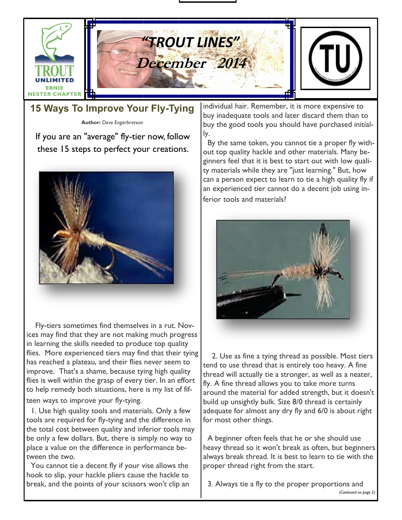

### **15 Ways To Improve Your Fly-Tying**

**Author:** Dave Engerbretson

If you are an "average" fly-tier now, follow these 15 steps to perfect your creations.



 Fly-tiers sometimes find themselves in a rut. Novices may find that they are not making much progress in learning the skills needed to produce top quality flies. More experienced tiers may find that their tying has reached a plateau, and their flies never seem to improve. That's a shame, because tying high quality flies is well within the grasp of every tier. In an effort to help remedy both situations, here is my list of fifteen ways to improve your fly-tying.

 1. Use high quality tools and materials. Only a few tools are required for fly-tying and the difference in the total cost between quality and inferior tools may be only a few dollars. But, there is simply no way to place a value on the difference in performance between the two.

 You cannot tie a decent fly if your vise allows the hook to slip, your hackle pliers cause the hackle to break, and the points of your scissors won't clip an individual hair. Remember, it is more expensive to buy inadequate tools and later discard them than to buy the good tools you should have purchased initially.

 By the same token, you cannot tie a proper fly without top quality hackle and other materials. Many beginners feel that it is best to start out with low quality materials while they are "just learning." But, how can a person expect to learn to tie a high quality fly if an experienced tier cannot do a decent job using inferior tools and materials?



 2. Use as fine a tying thread as possible. Most tiers tend to use thread that is entirely too heavy. A fine thread will actually tie a stronger, as well as a neater, fly. A fine thread allows you to take more turns around the material for added strength, but it doesn't build up unsightly bulk. Size 8/0 thread is certainly adequate for almost any dry fly and 6/0 is about right for most other things.

 A beginner often feels that he or she should use heavy thread so it won't break as often, but beginners always break thread. It is best to learn to tie with the proper thread right from the start.

 3. Always tie a fly to the proper proportions and *(Continued on page 2)*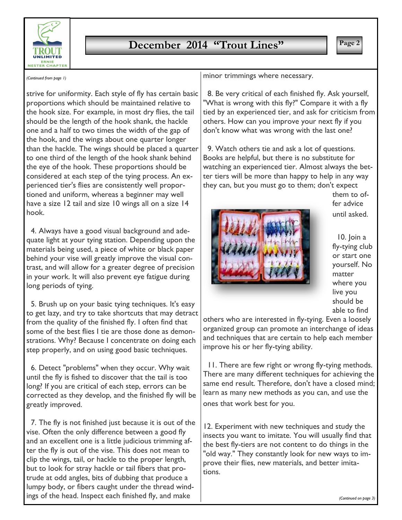

## **December 2014 "Trout Lines"** | Page 2

*(Continued from page 1)*

strive for uniformity. Each style of fly has certain basic proportions which should be maintained relative to the hook size. For example, in most dry flies, the tail should be the length of the hook shank, the hackle one and a half to two times the width of the gap of the hook, and the wings about one quarter longer than the hackle. The wings should be placed a quarter to one third of the length of the hook shank behind the eye of the hook. These proportions should be considered at each step of the tying process. An experienced tier's flies are consistently well proportioned and uniform, whereas a beginner may well have a size 12 tail and size 10 wings all on a size 14 hook.

 4. Always have a good visual background and adequate light at your tying station. Depending upon the materials being used, a piece of white or black paper behind your vise will greatly improve the visual contrast, and will allow for a greater degree of precision in your work. It will also prevent eye fatigue during long periods of tying.

 5. Brush up on your basic tying techniques. It's easy to get lazy, and try to take shortcuts that may detract from the quality of the finished fly. I often find that some of the best flies I tie are those done as demonstrations. Why? Because I concentrate on doing each step properly, and on using good basic techniques.

 6. Detect "problems" when they occur. Why wait until the fly is fished to discover that the tail is too long? If you are critical of each step, errors can be corrected as they develop, and the finished fly will be greatly improved.

 7. The fly is not finished just because it is out of the vise. Often the only difference between a good fly and an excellent one is a little judicious trimming after the fly is out of the vise. This does not mean to clip the wings, tail, or hackle to the proper length, but to look for stray hackle or tail fibers that protrude at odd angles, bits of dubbing that produce a lumpy body, or fibers caught under the thread windings of the head. Inspect each finished fly, and make

minor trimmings where necessary.

 8. Be very critical of each finished fly. Ask yourself, "What is wrong with this fly?" Compare it with a fly tied by an experienced tier, and ask for criticism from others. How can you improve your next fly if you don't know what was wrong with the last one?

 9. Watch others tie and ask a lot of questions. Books are helpful, but there is no substitute for watching an experienced tier. Almost always the better tiers will be more than happy to help in any way they can, but you must go to them; don't expect



them to offer advice until asked.

 10. Join a fly-tying club or start one yourself. No matter where you live you should be able to find

others who are interested in fly-tying. Even a loosely organized group can promote an interchange of ideas and techniques that are certain to help each member improve his or her fly-tying ability.

 11. There are few right or wrong fly-tying methods. There are many different techniques for achieving the same end result. Therefore, don't have a closed mind; learn as many new methods as you can, and use the ones that work best for you.

12. Experiment with new techniques and study the insects you want to imitate. You will usually find that the best fly-tiers are not content to do things in the "old way." They constantly look for new ways to improve their flies, new materials, and better imitations.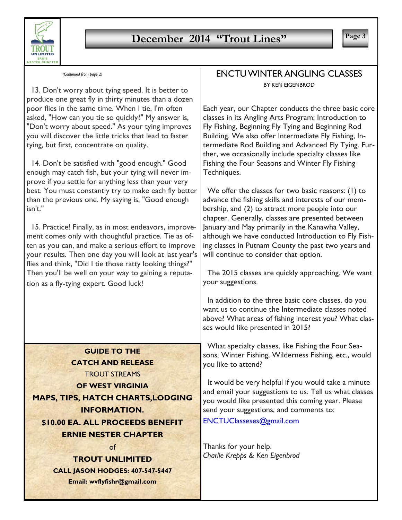

# **December 2014 "Trout Lines"** Page 3

| (Continued from page 2 |  |  |
|------------------------|--|--|
|                        |  |  |

 13. Don't worry about tying speed. It is better to produce one great fly in thirty minutes than a dozen poor flies in the same time. When I tie, I'm often asked, "How can you tie so quickly?" My answer is, "Don't worry about speed." As your tying improves you will discover the little tricks that lead to faster tying, but first, concentrate on quality.

 14. Don't be satisfied with "good enough." Good enough may catch fish, but your tying will never improve if you settle for anything less than your very best. You must constantly try to make each fly better than the previous one. My saying is, "Good enough isn't."

 15. Practice! Finally, as in most endeavors, improvement comes only with thoughtful practice. Tie as often as you can, and make a serious effort to improve your results. Then one day you will look at last year's flies and think, "Did I tie those ratty looking things?" Then you'll be well on your way to gaining a reputation as a fly-tying expert. Good luck!

**GUIDE TO THE CATCH AND RELEASE** TROUT STREAMS **OF WEST VIRGINIA MAPS, TIPS, HATCH CHARTS,LODGING INFORMATION. \$10.00 EA. ALL PROCEEDS BENEFIT**

**ERNIE NESTER CHAPTER** of

**TROUT UNLIMITED CALL JASON HODGES: 407-547-5447 Email: wvflyfishr@gmail.com**

### *(Continued from page 2)* ENCTU WINTER ANGLING CLASSES BY KEN EIGENBROD

Each year, our Chapter conducts the three basic core classes in its Angling Arts Program: Introduction to Fly Fishing, Beginning Fly Tying and Beginning Rod Building. We also offer Intermediate Fly Fishing, Intermediate Rod Building and Advanced Fly Tying. Further, we occasionally include specialty classes like Fishing the Four Seasons and Winter Fly Fishing Techniques.

 We offer the classes for two basic reasons: (1) to advance the fishing skills and interests of our membership, and (2) to attract more people into our chapter. Generally, classes are presented between January and May primarily in the Kanawha Valley, although we have conducted Introduction to Fly Fishing classes in Putnam County the past two years and will continue to consider that option.

 The 2015 classes are quickly approaching. We want your suggestions.

 In addition to the three basic core classes, do you want us to continue the Intermediate classes noted above? What areas of fishing interest you? What classes would like presented in 2015?

 What specialty classes, like Fishing the Four Seasons, Winter Fishing, Wilderness Fishing, etc., would you like to attend?

 It would be very helpful if you would take a minute and email your suggestions to us. Tell us what classes you would like presented this coming year. Please send your suggestions, and comments to: ENCTUClasseses@gmail.com

Thanks for your help. *Charlie Krepps & Ken Eigenbrod*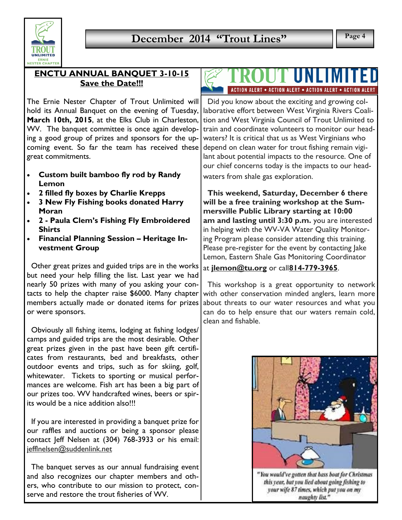

### **ENCTU ANNUAL BANQUET 3-10-15 Save the Date!!!**

The Ernie Nester Chapter of Trout Unlimited will hold its Annual Banquet on the evening of Tuesday, **March 10th, 2015**, at the Elks Club in Charleston, WV. The banquet committee is once again developing a good group of prizes and sponsors for the upcoming event. So far the team has received these great commitments.

- x **Custom built bamboo fly rod by Randy Lemon**
- x **2 filled fly boxes by Charlie Krepps**
- x **3 New Fly Fishing books donated Harry Moran**
- x **2 - Paula Clem's Fishing Fly Embroidered Shirts**
- x **Financial Planning Session – Heritage Investment Group**

 Other great prizes and guided trips are in the works but need your help filling the list. Last year we had nearly 50 prizes with many of you asking your contacts to help the chapter raise \$6000. Many chapter members actually made or donated items for prizes or were sponsors.

 Obviously all fishing items, lodging at fishing lodges/ camps and guided trips are the most desirable. Other great prizes given in the past have been gift certificates from restaurants, bed and breakfasts, other outdoor events and trips, such as for skiing, golf, whitewater. Tickets to sporting or musical performances are welcome. Fish art has been a big part of our prizes too. WV handcrafted wines, beers or spirits would be a nice addition also!!!

 If you are interested in providing a banquet prize for our raffles and auctions or being a sponsor please contact Jeff Nelsen at (304) 768-3933 or his email: jefflnelsen@suddenlink.net

 The banquet serves as our annual fundraising event and also recognizes our chapter members and others, who contribute to our mission to protect, conserve and restore the trout fisheries of WV.

# ACTION ALERT . ACTION ALERT . ACTION ALERT . ACTION ALERT

 Did you know about the exciting and growing collaborative effort between West Virginia Rivers Coalition and West Virginia Council of Trout Unlimited to train and coordinate volunteers to monitor our headwaters? It is critical that us as West Virginians who depend on clean water for trout fishing remain vigilant about potential impacts to the resource. One of our chief concerns today is the impacts to our headwaters from shale gas exploration.

 **This weekend, Saturday, December 6 there will be a free training workshop at the Summersville Public Library starting at 10:00 am and lasting until 3:30 p.m.** you are interested in helping with the WV-VA Water Quality Monitoring Program please consider attending this training. Please pre-register for the event by contacting Jake Lemon, Eastern Shale Gas Monitoring Coordinator

### at **jlemon@tu.org** or call**814-779-3965**.

 This workshop is a great opportunity to network with other conservation minded anglers, learn more about threats to our water resources and what you can do to help ensure that our waters remain cold, clean and fishable.



naughty list."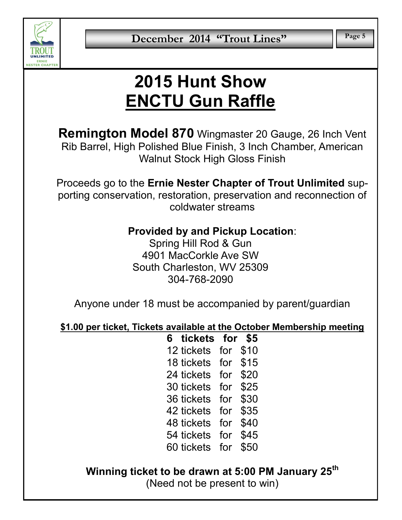

# **2015 Hunt Show ENCTU Gun Raffle**

**Remington Model 870** Wingmaster 20 Gauge, 26 Inch Vent Rib Barrel, High Polished Blue Finish, 3 Inch Chamber, American Walnut Stock High Gloss Finish

Proceeds go to the **Ernie Nester Chapter of Trout Unlimited** supporting conservation, restoration, preservation and reconnection of coldwater streams

# **Provided by and Pickup Location**:

Spring Hill Rod & Gun 4901 MacCorkle Ave SW South Charleston, WV 25309 304-768-2090

Anyone under 18 must be accompanied by parent/guardian

**\$1.00 per ticket, Tickets available at the October Membership meeting**

**6 tickets for \$5** 12 tickets for \$10 18 tickets for \$15 24 tickets for \$20 30 tickets for \$25 36 tickets for \$30 42 tickets for \$35 48 tickets for \$40 54 tickets for \$45 60 tickets for \$50

**Winning ticket to be drawn at 5:00 PM January 25th** (Need not be present to win)